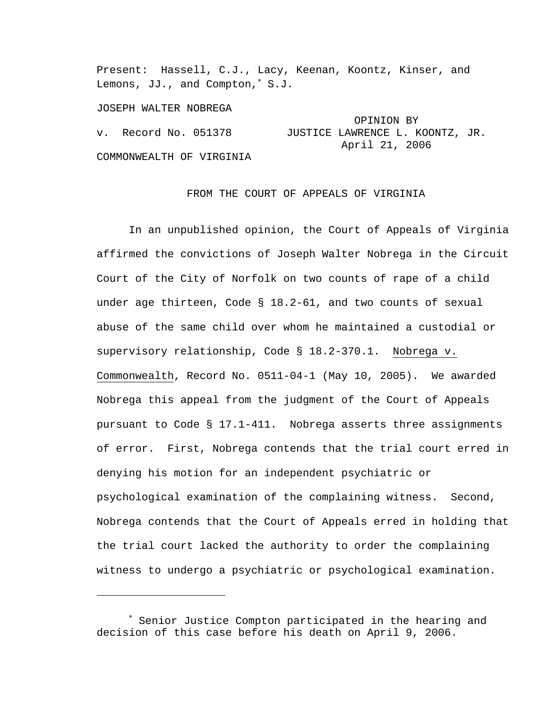Present: Hassell, C.J., Lacy, Keenan, Koontz, Kinser, and Lemons, JJ., and Compton,<sup>∗</sup> S.J.

JOSEPH WALTER NOBREGA

i<br>Li

 OPINION BY v. Record No. 051378 JUSTICE LAWRENCE L. KOONTZ, JR. April 21, 2006

COMMONWEALTH OF VIRGINIA

## FROM THE COURT OF APPEALS OF VIRGINIA

 In an unpublished opinion, the Court of Appeals of Virginia affirmed the convictions of Joseph Walter Nobrega in the Circuit Court of the City of Norfolk on two counts of rape of a child under age thirteen, Code § 18.2-61, and two counts of sexual abuse of the same child over whom he maintained a custodial or supervisory relationship, Code § 18.2-370.1. Nobrega v. Commonwealth, Record No. 0511-04-1 (May 10, 2005). We awarded Nobrega this appeal from the judgment of the Court of Appeals pursuant to Code § 17.1-411. Nobrega asserts three assignments of error. First, Nobrega contends that the trial court erred in denying his motion for an independent psychiatric or psychological examination of the complaining witness. Second, Nobrega contends that the Court of Appeals erred in holding that the trial court lacked the authority to order the complaining witness to undergo a psychiatric or psychological examination.

<sup>∗</sup> Senior Justice Compton participated in the hearing and decision of this case before his death on April 9, 2006.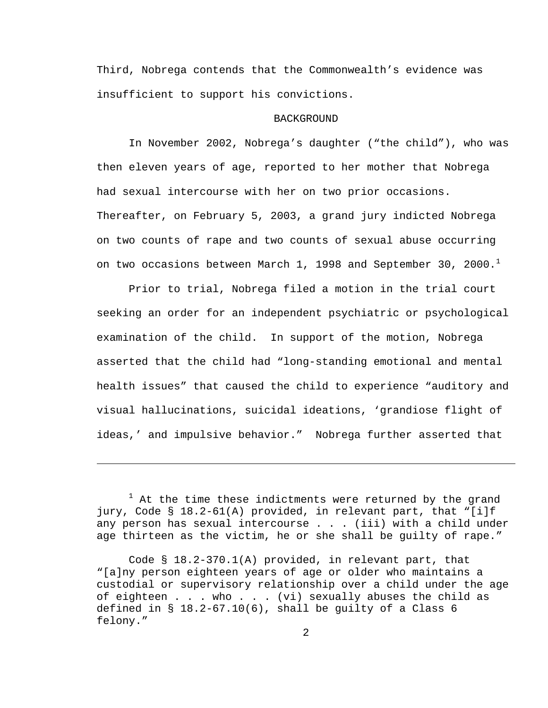Third, Nobrega contends that the Commonwealth's evidence was insufficient to support his convictions.

## **BACKGROUND**

 In November 2002, Nobrega's daughter ("the child"), who was then eleven years of age, reported to her mother that Nobrega had sexual intercourse with her on two prior occasions. Thereafter, on February 5, 2003, a grand jury indicted Nobrega on two counts of rape and two counts of sexual abuse occurring on two occasions between March 1, 1998 and September 30, 2000. $<sup>1</sup>$ </sup>

 Prior to trial, Nobrega filed a motion in the trial court seeking an order for an independent psychiatric or psychological examination of the child. In support of the motion, Nobrega asserted that the child had "long-standing emotional and mental health issues" that caused the child to experience "auditory and visual hallucinations, suicidal ideations, 'grandiose flight of ideas,' and impulsive behavior." Nobrega further asserted that

i<br>Li

 $^1$  At the time these indictments were returned by the grand jury, Code § 18.2-61(A) provided, in relevant part, that "[i]f any person has sexual intercourse . . . (iii) with a child under age thirteen as the victim, he or she shall be guilty of rape."

Code § 18.2-370.1(A) provided, in relevant part, that "[a]ny person eighteen years of age or older who maintains a custodial or supervisory relationship over a child under the age of eighteen . . . who . . . (vi) sexually abuses the child as defined in § 18.2-67.10(6), shall be guilty of a Class 6 felony."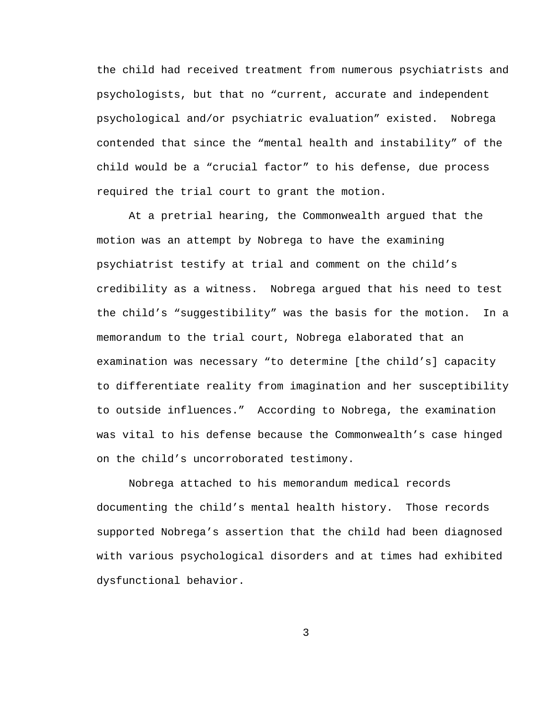the child had received treatment from numerous psychiatrists and psychologists, but that no "current, accurate and independent psychological and/or psychiatric evaluation" existed. Nobrega contended that since the "mental health and instability" of the child would be a "crucial factor" to his defense, due process required the trial court to grant the motion.

 At a pretrial hearing, the Commonwealth argued that the motion was an attempt by Nobrega to have the examining psychiatrist testify at trial and comment on the child's credibility as a witness. Nobrega argued that his need to test the child's "suggestibility" was the basis for the motion. In a memorandum to the trial court, Nobrega elaborated that an examination was necessary "to determine [the child's] capacity to differentiate reality from imagination and her susceptibility to outside influences." According to Nobrega, the examination was vital to his defense because the Commonwealth's case hinged on the child's uncorroborated testimony.

 Nobrega attached to his memorandum medical records documenting the child's mental health history. Those records supported Nobrega's assertion that the child had been diagnosed with various psychological disorders and at times had exhibited dysfunctional behavior.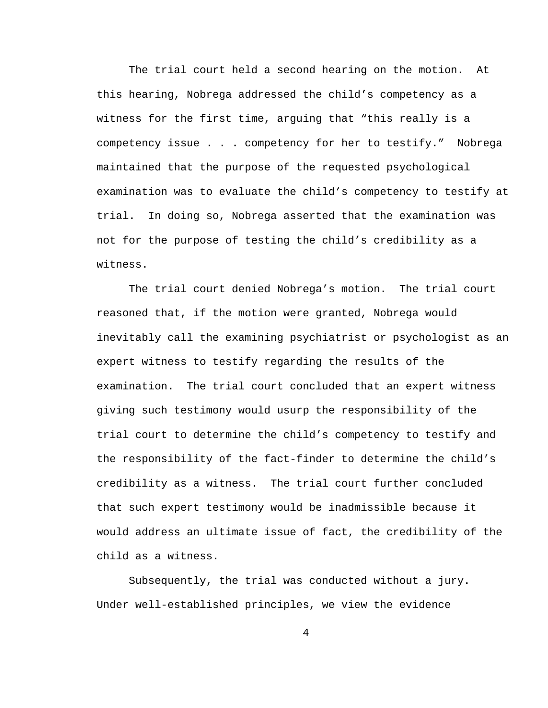The trial court held a second hearing on the motion. At this hearing, Nobrega addressed the child's competency as a witness for the first time, arguing that "this really is a competency issue . . . competency for her to testify." Nobrega maintained that the purpose of the requested psychological examination was to evaluate the child's competency to testify at trial. In doing so, Nobrega asserted that the examination was not for the purpose of testing the child's credibility as a witness.

 The trial court denied Nobrega's motion. The trial court reasoned that, if the motion were granted, Nobrega would inevitably call the examining psychiatrist or psychologist as an expert witness to testify regarding the results of the examination. The trial court concluded that an expert witness giving such testimony would usurp the responsibility of the trial court to determine the child's competency to testify and the responsibility of the fact-finder to determine the child's credibility as a witness. The trial court further concluded that such expert testimony would be inadmissible because it would address an ultimate issue of fact, the credibility of the child as a witness.

 Subsequently, the trial was conducted without a jury. Under well-established principles, we view the evidence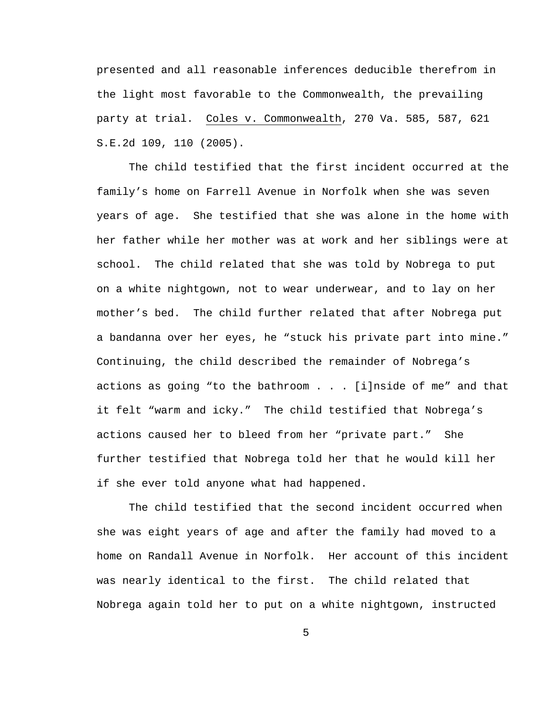presented and all reasonable inferences deducible therefrom in the light most favorable to the Commonwealth, the prevailing party at trial. Coles v. Commonwealth, 270 Va. 585, 587, 621 S.E.2d 109, 110 (2005).

 The child testified that the first incident occurred at the family's home on Farrell Avenue in Norfolk when she was seven years of age. She testified that she was alone in the home with her father while her mother was at work and her siblings were at school. The child related that she was told by Nobrega to put on a white nightgown, not to wear underwear, and to lay on her mother's bed. The child further related that after Nobrega put a bandanna over her eyes, he "stuck his private part into mine." Continuing, the child described the remainder of Nobrega's actions as going "to the bathroom . . . [i]nside of me" and that it felt "warm and icky." The child testified that Nobrega's actions caused her to bleed from her "private part." She further testified that Nobrega told her that he would kill her if she ever told anyone what had happened.

 The child testified that the second incident occurred when she was eight years of age and after the family had moved to a home on Randall Avenue in Norfolk. Her account of this incident was nearly identical to the first. The child related that Nobrega again told her to put on a white nightgown, instructed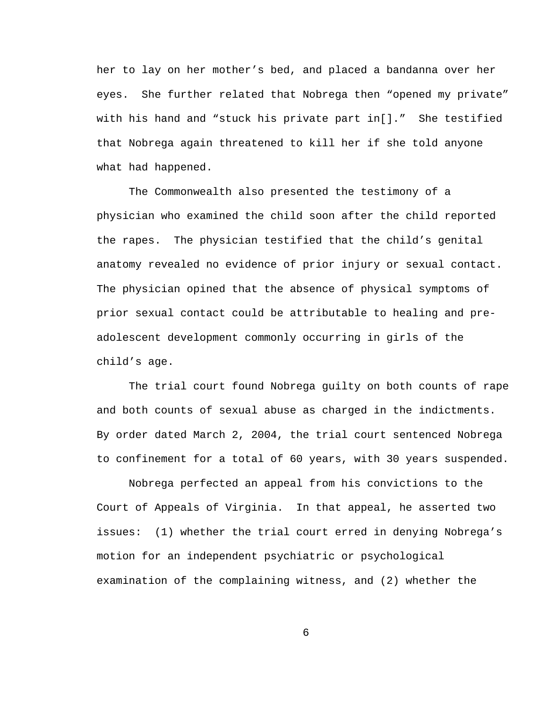her to lay on her mother's bed, and placed a bandanna over her eyes. She further related that Nobrega then "opened my private" with his hand and "stuck his private part in[]." She testified that Nobrega again threatened to kill her if she told anyone what had happened.

 The Commonwealth also presented the testimony of a physician who examined the child soon after the child reported the rapes. The physician testified that the child's genital anatomy revealed no evidence of prior injury or sexual contact. The physician opined that the absence of physical symptoms of prior sexual contact could be attributable to healing and preadolescent development commonly occurring in girls of the child's age.

 The trial court found Nobrega guilty on both counts of rape and both counts of sexual abuse as charged in the indictments. By order dated March 2, 2004, the trial court sentenced Nobrega to confinement for a total of 60 years, with 30 years suspended.

 Nobrega perfected an appeal from his convictions to the Court of Appeals of Virginia. In that appeal, he asserted two issues: (1) whether the trial court erred in denying Nobrega's motion for an independent psychiatric or psychological examination of the complaining witness, and (2) whether the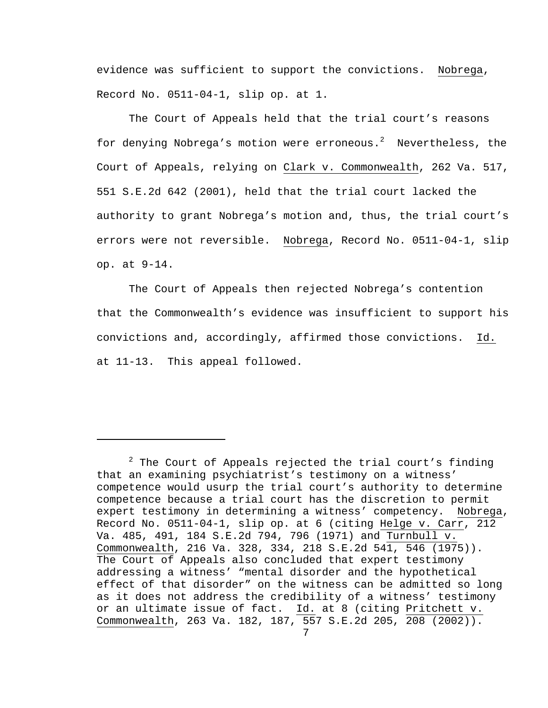evidence was sufficient to support the convictions. Nobrega, Record No. 0511-04-1, slip op. at 1.

 The Court of Appeals held that the trial court's reasons for denying Nobrega's motion were erroneous. $^2$  Nevertheless, the Court of Appeals, relying on Clark v. Commonwealth, 262 Va. 517, 551 S.E.2d 642 (2001), held that the trial court lacked the authority to grant Nobrega's motion and, thus, the trial court's errors were not reversible. Nobrega, Record No. 0511-04-1, slip op. at 9-14.

 The Court of Appeals then rejected Nobrega's contention that the Commonwealth's evidence was insufficient to support his convictions and, accordingly, affirmed those convictions. Id. at 11-13. This appeal followed.

i

 $2$  The Court of Appeals rejected the trial court's finding that an examining psychiatrist's testimony on a witness' competence would usurp the trial court's authority to determine competence because a trial court has the discretion to permit expert testimony in determining a witness' competency. Nobrega, Record No. 0511-04-1, slip op. at 6 (citing Helge v. Carr, 212 Va. 485, 491, 184 S.E.2d 794, 796 (1971) and Turnbull v. Commonwealth, 216 Va. 328, 334, 218 S.E.2d 541, 546 (1975)). The Court of Appeals also concluded that expert testimony addressing a witness' "mental disorder and the hypothetical effect of that disorder" on the witness can be admitted so long as it does not address the credibility of a witness' testimony or an ultimate issue of fact. Id. at 8 (citing Pritchett v. Commonwealth, 263 Va. 182, 187, 557 S.E.2d 205, 208 (2002)).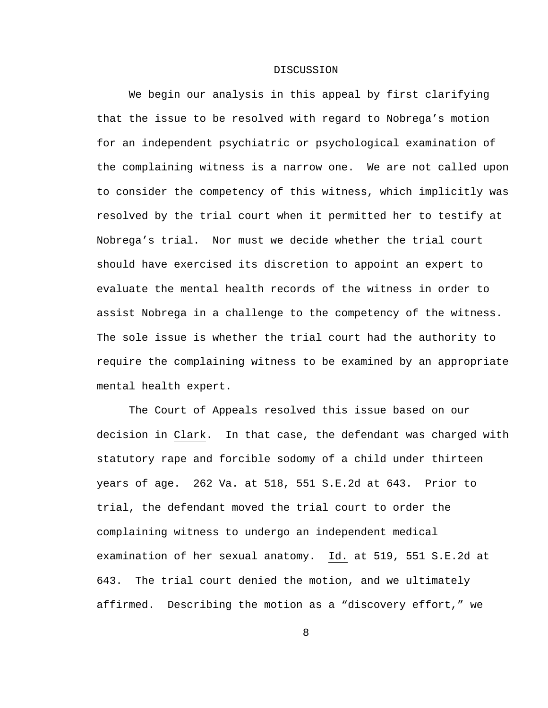#### DISCUSSION

 We begin our analysis in this appeal by first clarifying that the issue to be resolved with regard to Nobrega's motion for an independent psychiatric or psychological examination of the complaining witness is a narrow one. We are not called upon to consider the competency of this witness, which implicitly was resolved by the trial court when it permitted her to testify at Nobrega's trial. Nor must we decide whether the trial court should have exercised its discretion to appoint an expert to evaluate the mental health records of the witness in order to assist Nobrega in a challenge to the competency of the witness. The sole issue is whether the trial court had the authority to require the complaining witness to be examined by an appropriate mental health expert.

 The Court of Appeals resolved this issue based on our decision in Clark. In that case, the defendant was charged with statutory rape and forcible sodomy of a child under thirteen years of age. 262 Va. at 518, 551 S.E.2d at 643. Prior to trial, the defendant moved the trial court to order the complaining witness to undergo an independent medical examination of her sexual anatomy. Id. at 519, 551 S.E.2d at 643. The trial court denied the motion, and we ultimately affirmed. Describing the motion as a "discovery effort," we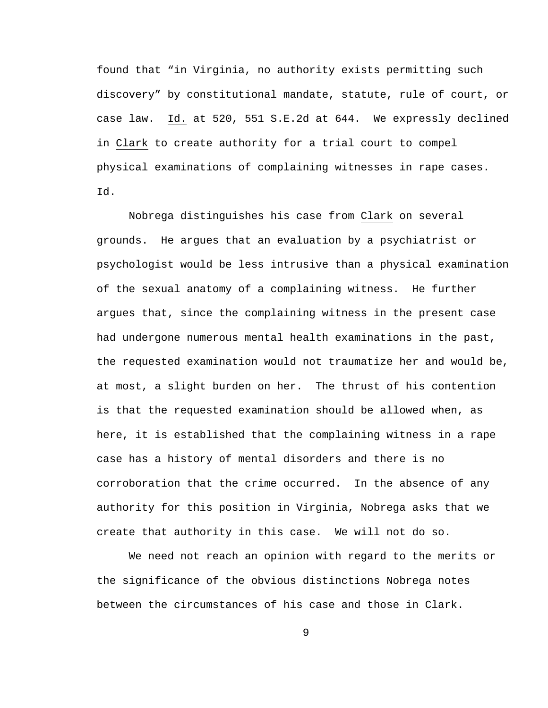found that "in Virginia, no authority exists permitting such discovery" by constitutional mandate, statute, rule of court, or case law. Id. at 520, 551 S.E.2d at 644. We expressly declined in Clark to create authority for a trial court to compel physical examinations of complaining witnesses in rape cases. Id.

 Nobrega distinguishes his case from Clark on several grounds. He argues that an evaluation by a psychiatrist or psychologist would be less intrusive than a physical examination of the sexual anatomy of a complaining witness. He further argues that, since the complaining witness in the present case had undergone numerous mental health examinations in the past, the requested examination would not traumatize her and would be, at most, a slight burden on her. The thrust of his contention is that the requested examination should be allowed when, as here, it is established that the complaining witness in a rape case has a history of mental disorders and there is no corroboration that the crime occurred. In the absence of any authority for this position in Virginia, Nobrega asks that we create that authority in this case. We will not do so.

 We need not reach an opinion with regard to the merits or the significance of the obvious distinctions Nobrega notes between the circumstances of his case and those in Clark.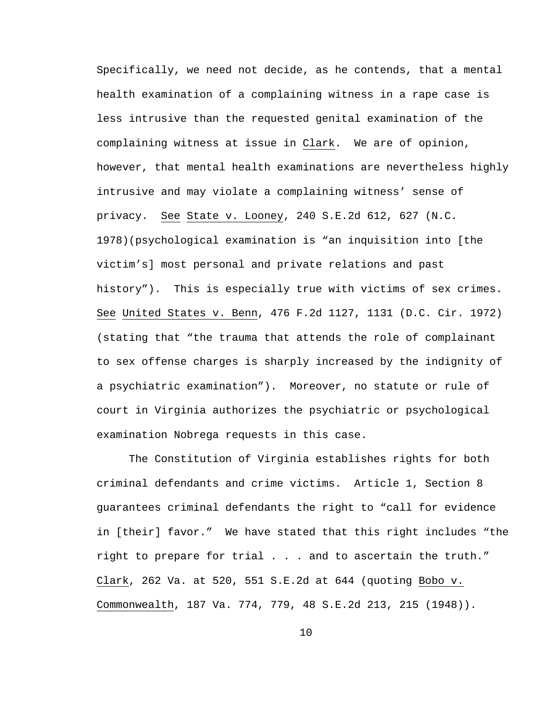Specifically, we need not decide, as he contends, that a mental health examination of a complaining witness in a rape case is less intrusive than the requested genital examination of the complaining witness at issue in Clark. We are of opinion, however, that mental health examinations are nevertheless highly intrusive and may violate a complaining witness' sense of privacy. See State v. Looney, 240 S.E.2d 612, 627 (N.C. 1978)(psychological examination is "an inquisition into [the victim's] most personal and private relations and past history"). This is especially true with victims of sex crimes. See United States v. Benn, 476 F.2d 1127, 1131 (D.C. Cir. 1972) (stating that "the trauma that attends the role of complainant to sex offense charges is sharply increased by the indignity of a psychiatric examination"). Moreover, no statute or rule of court in Virginia authorizes the psychiatric or psychological examination Nobrega requests in this case.

 The Constitution of Virginia establishes rights for both criminal defendants and crime victims. Article 1, Section 8 guarantees criminal defendants the right to "call for evidence in [their] favor." We have stated that this right includes "the right to prepare for trial . . . and to ascertain the truth." Clark, 262 Va. at 520, 551 S.E.2d at 644 (quoting Bobo v. Commonwealth, 187 Va. 774, 779, 48 S.E.2d 213, 215 (1948)).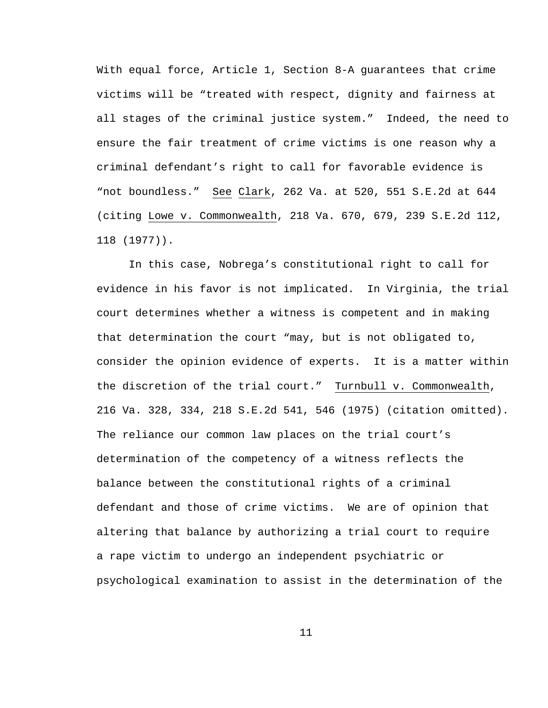With equal force, Article 1, Section 8-A guarantees that crime victims will be "treated with respect, dignity and fairness at all stages of the criminal justice system." Indeed, the need to ensure the fair treatment of crime victims is one reason why a criminal defendant's right to call for favorable evidence is "not boundless." See Clark, 262 Va. at 520, 551 S.E.2d at 644 (citing Lowe v. Commonwealth, 218 Va. 670, 679, 239 S.E.2d 112, 118 (1977)).

 In this case, Nobrega's constitutional right to call for evidence in his favor is not implicated. In Virginia, the trial court determines whether a witness is competent and in making that determination the court "may, but is not obligated to, consider the opinion evidence of experts. It is a matter within the discretion of the trial court." Turnbull v. Commonwealth, 216 Va. 328, 334, 218 S.E.2d 541, 546 (1975) (citation omitted). The reliance our common law places on the trial court's determination of the competency of a witness reflects the balance between the constitutional rights of a criminal defendant and those of crime victims. We are of opinion that altering that balance by authorizing a trial court to require a rape victim to undergo an independent psychiatric or psychological examination to assist in the determination of the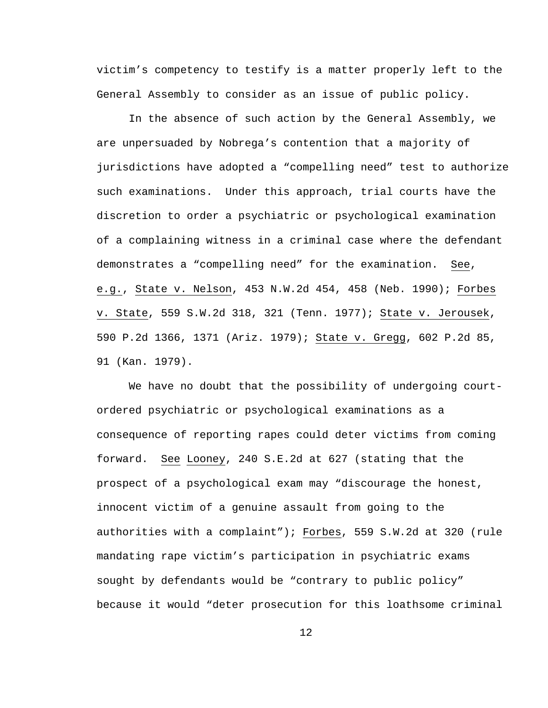victim's competency to testify is a matter properly left to the General Assembly to consider as an issue of public policy.

 In the absence of such action by the General Assembly, we are unpersuaded by Nobrega's contention that a majority of jurisdictions have adopted a "compelling need" test to authorize such examinations. Under this approach, trial courts have the discretion to order a psychiatric or psychological examination of a complaining witness in a criminal case where the defendant demonstrates a "compelling need" for the examination. See, e.g., State v. Nelson, 453 N.W.2d 454, 458 (Neb. 1990); Forbes v. State, 559 S.W.2d 318, 321 (Tenn. 1977); State v. Jerousek, 590 P.2d 1366, 1371 (Ariz. 1979); State v. Gregg, 602 P.2d 85, 91 (Kan. 1979).

 We have no doubt that the possibility of undergoing courtordered psychiatric or psychological examinations as a consequence of reporting rapes could deter victims from coming forward. See Looney, 240 S.E.2d at 627 (stating that the prospect of a psychological exam may "discourage the honest, innocent victim of a genuine assault from going to the authorities with a complaint"); Forbes, 559 S.W.2d at 320 (rule mandating rape victim's participation in psychiatric exams sought by defendants would be "contrary to public policy" because it would "deter prosecution for this loathsome criminal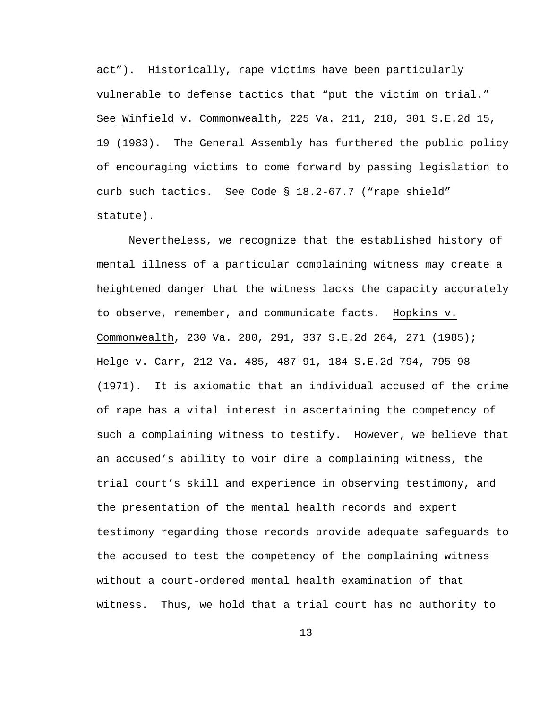act"). Historically, rape victims have been particularly vulnerable to defense tactics that "put the victim on trial." See Winfield v. Commonwealth, 225 Va. 211, 218, 301 S.E.2d 15, 19 (1983). The General Assembly has furthered the public policy of encouraging victims to come forward by passing legislation to curb such tactics. See Code § 18.2-67.7 ("rape shield" statute).

 Nevertheless, we recognize that the established history of mental illness of a particular complaining witness may create a heightened danger that the witness lacks the capacity accurately to observe, remember, and communicate facts. Hopkins v. Commonwealth, 230 Va. 280, 291, 337 S.E.2d 264, 271 (1985); Helge v. Carr, 212 Va. 485, 487-91, 184 S.E.2d 794, 795-98 (1971). It is axiomatic that an individual accused of the crime of rape has a vital interest in ascertaining the competency of such a complaining witness to testify. However, we believe that an accused's ability to voir dire a complaining witness, the trial court's skill and experience in observing testimony, and the presentation of the mental health records and expert testimony regarding those records provide adequate safeguards to the accused to test the competency of the complaining witness without a court-ordered mental health examination of that witness. Thus, we hold that a trial court has no authority to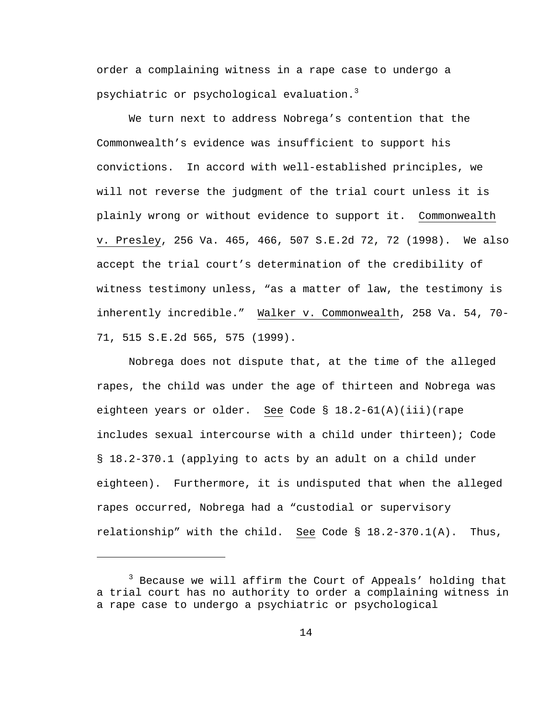order a complaining witness in a rape case to undergo a psychiatric or psychological evaluation.<sup>3</sup>

 We turn next to address Nobrega's contention that the Commonwealth's evidence was insufficient to support his convictions. In accord with well-established principles, we will not reverse the judgment of the trial court unless it is plainly wrong or without evidence to support it. Commonwealth v. Presley, 256 Va. 465, 466, 507 S.E.2d 72, 72 (1998). We also accept the trial court's determination of the credibility of witness testimony unless, "as a matter of law, the testimony is inherently incredible." Walker v. Commonwealth, 258 Va. 54, 70- 71, 515 S.E.2d 565, 575 (1999).

 Nobrega does not dispute that, at the time of the alleged rapes, the child was under the age of thirteen and Nobrega was eighteen years or older. See Code § 18.2-61(A)(iii)(rape includes sexual intercourse with a child under thirteen); Code § 18.2-370.1 (applying to acts by an adult on a child under eighteen). Furthermore, it is undisputed that when the alleged rapes occurred, Nobrega had a "custodial or supervisory relationship" with the child. See Code § 18.2-370.1(A). Thus,

i

<sup>&</sup>lt;sup>3</sup> Because we will affirm the Court of Appeals' holding that a trial court has no authority to order a complaining witness in a rape case to undergo a psychiatric or psychological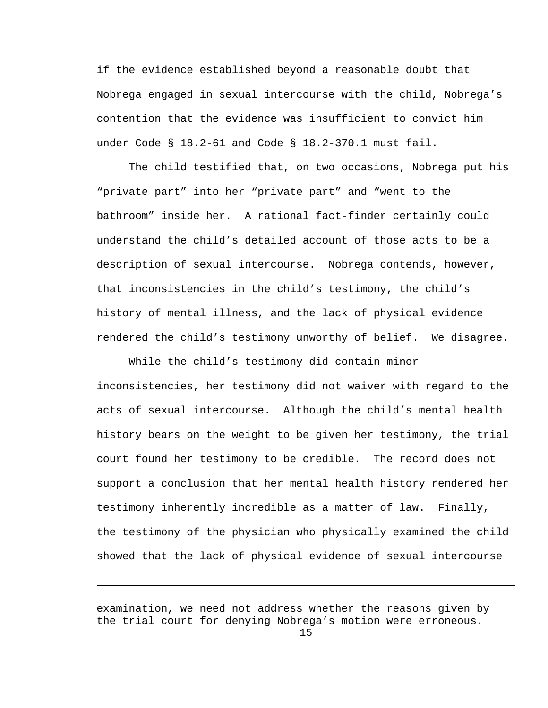if the evidence established beyond a reasonable doubt that Nobrega engaged in sexual intercourse with the child, Nobrega's contention that the evidence was insufficient to convict him under Code § 18.2-61 and Code § 18.2-370.1 must fail.

 The child testified that, on two occasions, Nobrega put his "private part" into her "private part" and "went to the bathroom" inside her. A rational fact-finder certainly could understand the child's detailed account of those acts to be a description of sexual intercourse. Nobrega contends, however, that inconsistencies in the child's testimony, the child's history of mental illness, and the lack of physical evidence rendered the child's testimony unworthy of belief. We disagree.

 While the child's testimony did contain minor inconsistencies, her testimony did not waiver with regard to the acts of sexual intercourse. Although the child's mental health history bears on the weight to be given her testimony, the trial court found her testimony to be credible. The record does not support a conclusion that her mental health history rendered her testimony inherently incredible as a matter of law. Finally, the testimony of the physician who physically examined the child showed that the lack of physical evidence of sexual intercourse

i

<sup>15</sup> examination, we need not address whether the reasons given by the trial court for denying Nobrega's motion were erroneous.